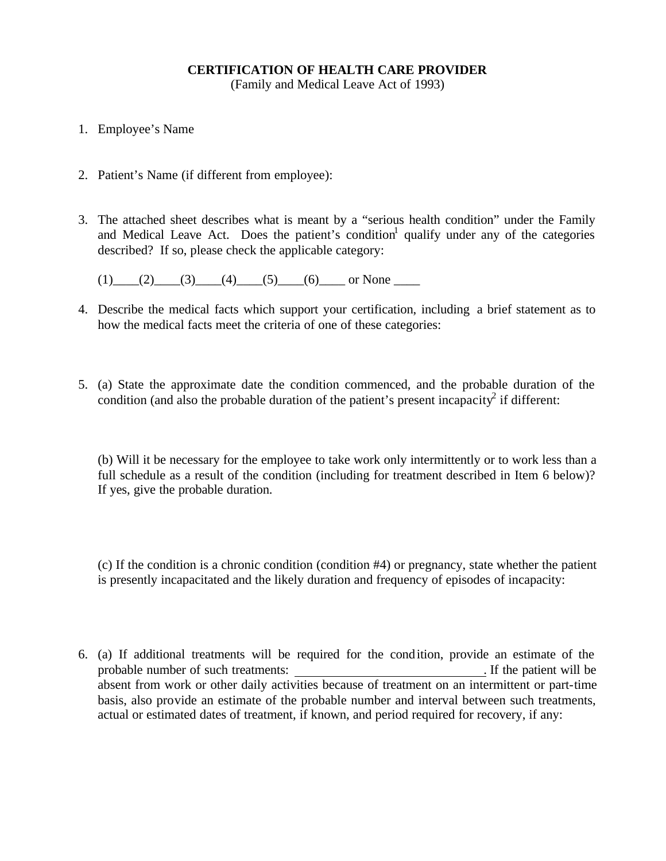## **CERTIFICATION OF HEALTH CARE PROVIDER**

(Family and Medical Leave Act of 1993)

- 1. Employee's Name
- 2. Patient's Name (if different from employee):
- 3. The attached sheet describes what is meant by a "serious health condition" under the Family and Medical Leave Act. Does the patient's condition<sup>1</sup> qualify under any of the categories described? If so, please check the applicable category:

 $(1)$   $(2)$   $(3)$   $(4)$   $(5)$   $(6)$  or None \_\_\_\_

- 4. Describe the medical facts which support your certification, including a brief statement as to how the medical facts meet the criteria of one of these categories:
- 5. (a) State the approximate date the condition commenced, and the probable duration of the condition (and also the probable duration of the patient's present incapacity<sup>2</sup> if different:

(b) Will it be necessary for the employee to take work only intermittently or to work less than a full schedule as a result of the condition (including for treatment described in Item 6 below)? If yes, give the probable duration.

(c) If the condition is a chronic condition (condition #4) or pregnancy, state whether the patient is presently incapacitated and the likely duration and frequency of episodes of incapacity:

6. (a) If additional treatments will be required for the condition, provide an estimate of the probable number of such treatments: . If the patient will be absent from work or other daily activities because of treatment on an intermittent or part-time basis, also provide an estimate of the probable number and interval between such treatments, actual or estimated dates of treatment, if known, and period required for recovery, if any: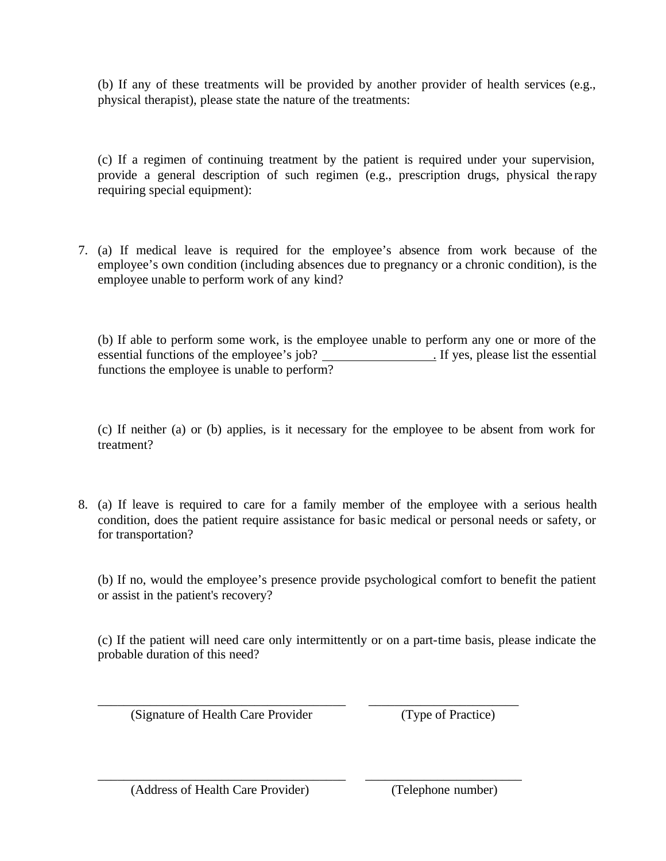(b) If any of these treatments will be provided by another provider of health services (e.g., physical therapist), please state the nature of the treatments:

(c) If a regimen of continuing treatment by the patient is required under your supervision, provide a general description of such regimen (e.g., prescription drugs, physical the rapy requiring special equipment):

7. (a) If medical leave is required for the employee's absence from work because of the employee's own condition (including absences due to pregnancy or a chronic condition), is the employee unable to perform work of any kind?

(b) If able to perform some work, is the employee unable to perform any one or more of the essential functions of the employee's job? . If yes, please list the essential functions the employee is unable to perform?

(c) If neither (a) or (b) applies, is it necessary for the employee to be absent from work for treatment?

8. (a) If leave is required to care for a family member of the employee with a serious health condition, does the patient require assistance for basic medical or personal needs or safety, or for transportation?

(b) If no, would the employee's presence provide psychological comfort to benefit the patient or assist in the patient's recovery?

(c) If the patient will need care only intermittently or on a part-time basis, please indicate the probable duration of this need?

\_\_\_\_\_\_\_\_\_\_\_\_\_\_\_\_\_\_\_\_\_\_\_\_\_\_\_\_\_\_\_\_\_\_\_\_\_\_ \_\_\_\_\_\_\_\_\_\_\_\_\_\_\_\_\_\_\_\_\_\_\_

\_\_\_\_\_\_\_\_\_\_\_\_\_\_\_\_\_\_\_\_\_\_\_\_\_\_\_\_\_\_\_\_\_\_\_\_\_\_ \_\_\_\_\_\_\_\_\_\_\_\_\_\_\_\_\_\_\_\_\_\_\_\_

(Signature of Health Care Provider (Type of Practice)

(Address of Health Care Provider) (Telephone number)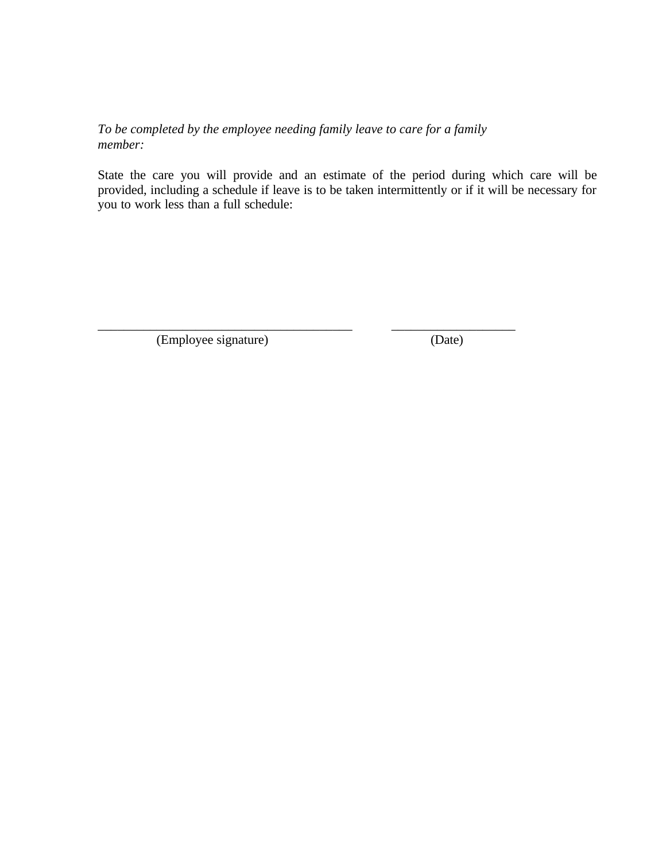## *To be completed by the employee needing family leave to care for a family member:*

\_\_\_\_\_\_\_\_\_\_\_\_\_\_\_\_\_\_\_\_\_\_\_\_\_\_\_\_\_\_\_\_\_\_\_\_\_\_\_ \_\_\_\_\_\_\_\_\_\_\_\_\_\_\_\_\_\_\_

State the care you will provide and an estimate of the period during which care will be provided, including a schedule if leave is to be taken intermittently or if it will be necessary for you to work less than a full schedule:

(Employee signature) (Date)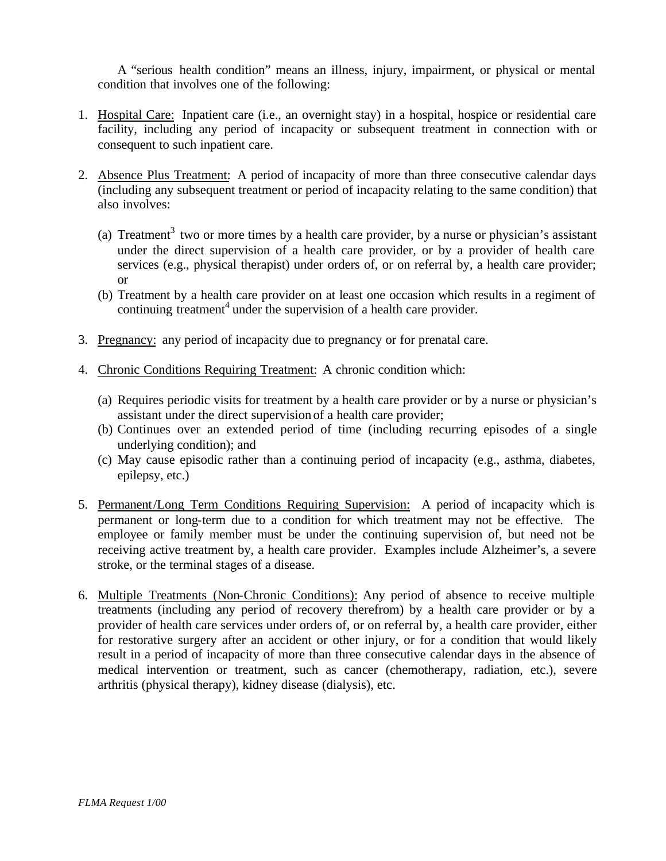A "serious health condition" means an illness, injury, impairment, or physical or mental condition that involves one of the following:

- 1. Hospital Care: Inpatient care (i.e., an overnight stay) in a hospital, hospice or residential care facility, including any period of incapacity or subsequent treatment in connection with or consequent to such inpatient care.
- 2. Absence Plus Treatment: A period of incapacity of more than three consecutive calendar days (including any subsequent treatment or period of incapacity relating to the same condition) that also involves:
	- (a) Treatment<sup>3</sup> two or more times by a health care provider, by a nurse or physician's assistant under the direct supervision of a health care provider, or by a provider of health care services (e.g., physical therapist) under orders of, or on referral by, a health care provider; or
	- (b) Treatment by a health care provider on at least one occasion which results in a regiment of continuing treatment<sup>4</sup> under the supervision of a health care provider.
- 3. Pregnancy: any period of incapacity due to pregnancy or for prenatal care.
- 4. Chronic Conditions Requiring Treatment: A chronic condition which:
	- (a) Requires periodic visits for treatment by a health care provider or by a nurse or physician's assistant under the direct supervision of a health care provider;
	- (b) Continues over an extended period of time (including recurring episodes of a single underlying condition); and
	- (c) May cause episodic rather than a continuing period of incapacity (e.g., asthma, diabetes, epilepsy, etc.)
- 5. Permanent/Long Term Conditions Requiring Supervision: A period of incapacity which is permanent or long-term due to a condition for which treatment may not be effective. The employee or family member must be under the continuing supervision of, but need not be receiving active treatment by, a health care provider. Examples include Alzheimer's, a severe stroke, or the terminal stages of a disease.
- 6. Multiple Treatments (Non-Chronic Conditions): Any period of absence to receive multiple treatments (including any period of recovery therefrom) by a health care provider or by a provider of health care services under orders of, or on referral by, a health care provider, either for restorative surgery after an accident or other injury, or for a condition that would likely result in a period of incapacity of more than three consecutive calendar days in the absence of medical intervention or treatment, such as cancer (chemotherapy, radiation, etc.), severe arthritis (physical therapy), kidney disease (dialysis), etc.